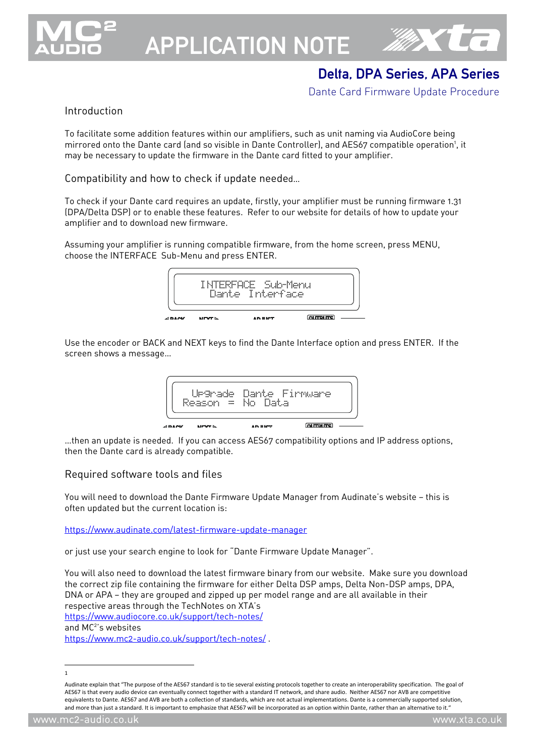

# APPLICATION NOTE



# Delta, DPA Series, APA Series

Dante Card Firmware Update Procedure

### Introduction

To facilitate some addition features within our amplifiers, such as unit naming via AudioCore being mirrored onto the Dante card (and so visible in Dante Controller), and AES67 compatible operation<sup>1</sup>, it may be necessary to update the firmware in the Dante card fitted to your amplifier.

Compatibility and how to check if update needed…

To check if your Dante card requires an update, firstly, your amplifier must be running firmware 1.31 (DPA/Delta DSP) or to enable these features. Refer to our website for details of how to update your amplifier and to download new firmware.

Assuming your amplifier is running compatible firmware, from the home screen, press MENU, choose the INTERFACE Sub-Menu and press ENTER.



Use the encoder or BACK and NEXT keys to find the Dante Interface option and press ENTER. If the screen shows a message…



…then an update is needed. If you can access AES67 compatibility options and IP address options, then the Dante card is already compatible.

#### Required software tools and files

You will need to download the Dante Firmware Update Manager from Audinate's website — this is often updated but the current location is:

https://www.audinate.com/latest-firmware-update-manager

or just use your search engine to look for "Dante Firmware Update Manager".

You will also need to download the latest firmware binary from our website. Make sure you download the correct zip file containing the firmware for either Delta DSP amps, Delta Non-DSP amps, DPA, DNA or APA — they are grouped and zipped up per model range and are all available in their respective areas through the TechNotes on XTA's https://www.audiocore.co.uk/support/tech-notes/ and MC<sup>2</sup>'s websites https://www.mc2-audio.co.uk/support/tech-notes/ .

1

Audinate explain that "The purpose of the AES67 standard is to tie several existing protocols together to create an interoperability specification. The goal of AES67 is that every audio device can eventually connect together with a standard IT network, and share audio. Neither AES67 nor AVB are competitive equivalents to Dante. AES67 and AVB are both a collection of standards, which are not actual implementations. Dante is a commercially supported solution, and more than just a standard. It is important to emphasize that AES67 will be incorporated as an option within Dante, rather than an alternative to it."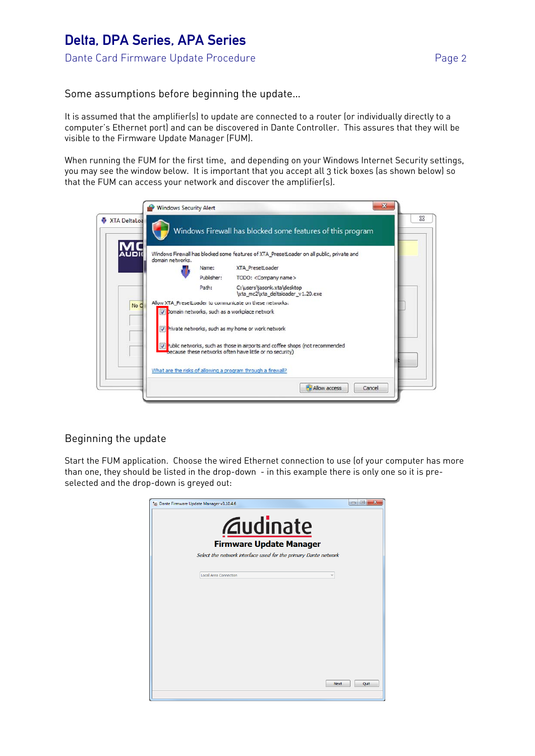## Delta, DPA Series, APA Series Dante Card Firmware Update Procedure **Page 2** Page 2

Some assumptions before beginning the update…

It is assumed that the amplifier(s) to update are connected to a router (or individually directly to a computer's Ethernet port) and can be discovered in Dante Controller. This assures that they will be visible to the Firmware Update Manager (FUM).

When running the FUM for the first time, and depending on your Windows Internet Security settings, you may see the window below. It is important that you accept all 3 tick boxes (as shown below) so that the FUM can access your network and discover the amplifier(s).



## Beginning the update

Start the FUM application. Choose the wired Ethernet connection to use (of your computer has more than one, they should be listed in the drop-down - in this example there is only one so it is preselected and the drop-down is greyed out:

| <b><i><u>Audinate</u></i></b>                                   |  |
|-----------------------------------------------------------------|--|
| <b>Firmware Update Manager</b>                                  |  |
| Select the network interface used for the primary Dante network |  |
| Local Area Connection                                           |  |
|                                                                 |  |
|                                                                 |  |
|                                                                 |  |
|                                                                 |  |
|                                                                 |  |
|                                                                 |  |
|                                                                 |  |
|                                                                 |  |
|                                                                 |  |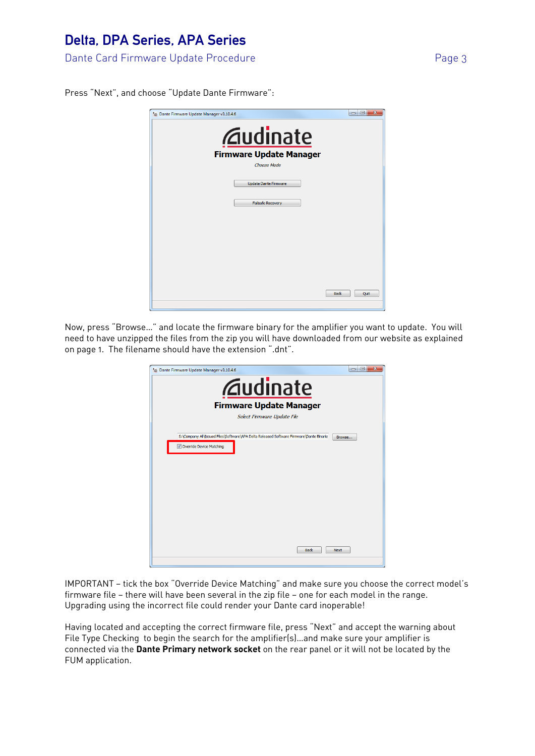# Delta, DPA Series, APA Series

Dante Card Firmware Update Procedure **Page 3** Page 3

Press "Next", and choose "Update Dante Firmware":



Now, press "Browse…" and locate the firmware binary for the amplifier you want to update. You will need to have unzipped the files from the zip you will have downloaded from our website as explained on page 1. The filename should have the extension ".dnt".



IMPORTANT — tick the box "Override Device Matching" and make sure you choose the correct model's firmware file — there will have been several in the zip file — one for each model in the range. Upgrading using the incorrect file could render your Dante card inoperable!

Having located and accepting the correct firmware file, press "Next" and accept the warning about File Type Checking to begin the search for the amplifier(s)…and make sure your amplifier is connected via the **Dante Primary network socket** on the rear panel or it will not be located by the FUM application.